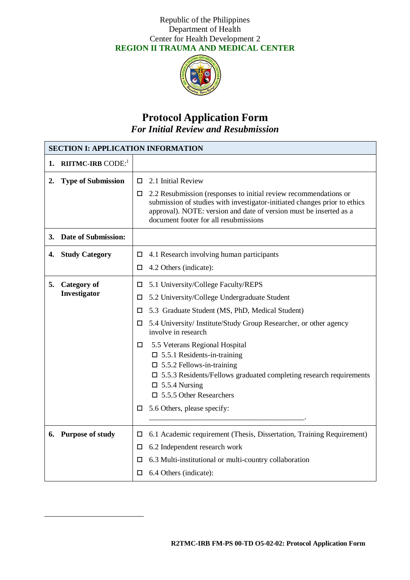

# **Protocol Application Form** *For Initial Review and Resubmission*

| <b>SECTION I: APPLICATION INFORMATION</b> |                                      |        |                                                                                                                                                                                                                                                              |  |
|-------------------------------------------|--------------------------------------|--------|--------------------------------------------------------------------------------------------------------------------------------------------------------------------------------------------------------------------------------------------------------------|--|
| 1.                                        | <b>RIITMC-IRB</b> CODE: <sup>1</sup> |        |                                                                                                                                                                                                                                                              |  |
| 2.                                        | <b>Type of Submission</b>            | п      | 2.1 Initial Review                                                                                                                                                                                                                                           |  |
|                                           |                                      | □      | 2.2 Resubmission (responses to initial review recommendations or<br>submission of studies with investigator-initiated changes prior to ethics<br>approval). NOTE: version and date of version must be inserted as a<br>document footer for all resubmissions |  |
| 3.                                        | <b>Date of Submission:</b>           |        |                                                                                                                                                                                                                                                              |  |
| 4.                                        | <b>Study Category</b>                | □      | 4.1 Research involving human participants                                                                                                                                                                                                                    |  |
|                                           |                                      | □      | 4.2 Others (indicate):                                                                                                                                                                                                                                       |  |
| 5.                                        | <b>Category of</b>                   | □      | 5.1 University/College Faculty/REPS                                                                                                                                                                                                                          |  |
|                                           | Investigator                         | □      | 5.2 University/College Undergraduate Student                                                                                                                                                                                                                 |  |
|                                           |                                      | □      | 5.3 Graduate Student (MS, PhD, Medical Student)                                                                                                                                                                                                              |  |
|                                           |                                      | □      | 5.4 University/ Institute/Study Group Researcher, or other agency<br>involve in research                                                                                                                                                                     |  |
|                                           |                                      | □      | 5.5 Veterans Regional Hospital                                                                                                                                                                                                                               |  |
|                                           |                                      |        | $\Box$ 5.5.1 Residents-in-training                                                                                                                                                                                                                           |  |
|                                           |                                      |        | $\Box$ 5.5.2 Fellows-in-training<br>$\square$ 5.5.3 Residents/Fellows graduated completing research requirements                                                                                                                                             |  |
|                                           |                                      |        | $\Box$ 5.5.4 Nursing                                                                                                                                                                                                                                         |  |
|                                           |                                      |        | $\Box$ 5.5.5 Other Researchers                                                                                                                                                                                                                               |  |
|                                           |                                      | $\Box$ | 5.6 Others, please specify:                                                                                                                                                                                                                                  |  |
|                                           |                                      |        |                                                                                                                                                                                                                                                              |  |
|                                           | 6. Purpose of study                  | □      | 6.1 Academic requirement (Thesis, Dissertation, Training Requirement)                                                                                                                                                                                        |  |
|                                           |                                      | □      | 6.2 Independent research work                                                                                                                                                                                                                                |  |
|                                           |                                      | □      | 6.3 Multi-institutional or multi-country collaboration                                                                                                                                                                                                       |  |
|                                           |                                      | □      | 6.4 Others (indicate):                                                                                                                                                                                                                                       |  |

l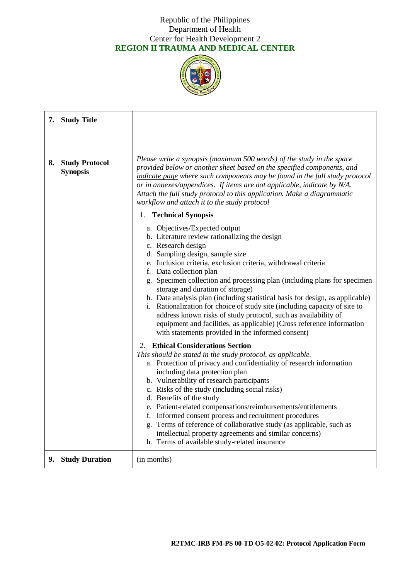

| 7. Study Title                                 |                                                                                                                                                                                                                                                                                                                                                                                                                                                                                                                                                                                                                                                                                                                     |  |
|------------------------------------------------|---------------------------------------------------------------------------------------------------------------------------------------------------------------------------------------------------------------------------------------------------------------------------------------------------------------------------------------------------------------------------------------------------------------------------------------------------------------------------------------------------------------------------------------------------------------------------------------------------------------------------------------------------------------------------------------------------------------------|--|
|                                                |                                                                                                                                                                                                                                                                                                                                                                                                                                                                                                                                                                                                                                                                                                                     |  |
| <b>Study Protocol</b><br>8.<br><b>Synopsis</b> | Please write a synopsis (maximum 500 words) of the study in the space<br>provided below or another sheet based on the specified components, and<br>indicate page where such components may be found in the full study protocol<br>or in annexes/appendices. If items are not applicable, indicate by N/A.<br>Attach the full study protocol to this application. Make a diagrammatic<br>workflow and attach it to the study protocol                                                                                                                                                                                                                                                                                |  |
|                                                | 1. Technical Synopsis                                                                                                                                                                                                                                                                                                                                                                                                                                                                                                                                                                                                                                                                                               |  |
|                                                | a. Objectives/Expected output<br>b. Literature review rationalizing the design<br>c. Research design<br>d. Sampling design, sample size<br>e. Inclusion criteria, exclusion criteria, withdrawal criteria<br>f. Data collection plan<br>g. Specimen collection and processing plan (including plans for specimen<br>storage and duration of storage)<br>h. Data analysis plan (including statistical basis for design, as applicable)<br>i. Rationalization for choice of study site (including capacity of site to<br>address known risks of study protocol, such as availability of<br>equipment and facilities, as applicable) (Cross reference information<br>with statements provided in the informed consent) |  |
|                                                | 2. Ethical Considerations Section                                                                                                                                                                                                                                                                                                                                                                                                                                                                                                                                                                                                                                                                                   |  |
|                                                | This should be stated in the study protocol, as applicable.<br>a. Protection of privacy and confidentiality of research information<br>including data protection plan<br>b. Vulnerability of research participants<br>c. Risks of the study (including social risks)<br>d. Benefits of the study<br>e. Patient-related compensations/reimbursements/entitlements<br>f. Informed consent process and recruitment procedures<br>g. Terms of reference of collaborative study (as applicable, such as<br>intellectual property agreements and similar concerns)<br>h. Terms of available study-related insurance                                                                                                       |  |
| 9. Study Duration                              | (in months)                                                                                                                                                                                                                                                                                                                                                                                                                                                                                                                                                                                                                                                                                                         |  |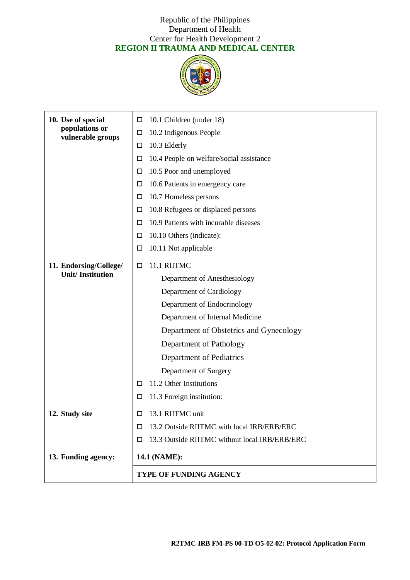

| 10. Use of special                  | 10.1 Children (under 18)<br>□                      |  |
|-------------------------------------|----------------------------------------------------|--|
| populations or<br>vulnerable groups | 10.2 Indigenous People<br>□                        |  |
|                                     | 10.3 Elderly<br>□                                  |  |
|                                     | 10.4 People on welfare/social assistance<br>□      |  |
|                                     | 10.5 Poor and unemployed<br>□                      |  |
|                                     | 10.6 Patients in emergency care<br>□               |  |
|                                     | 10.7 Homeless persons<br>□                         |  |
|                                     | 10.8 Refugees or displaced persons<br>□            |  |
|                                     | 10.9 Patients with incurable diseases<br>□         |  |
|                                     | 10.10 Others (indicate):<br>□                      |  |
|                                     | 10.11 Not applicable<br>□                          |  |
| 11. Endorsing/College/              | 11.1 RIITMC<br>□                                   |  |
| <b>Unit/Institution</b>             | Department of Anesthesiology                       |  |
|                                     | Department of Cardiology                           |  |
|                                     | Department of Endocrinology                        |  |
|                                     | Department of Internal Medicine                    |  |
|                                     | Department of Obstetrics and Gynecology            |  |
|                                     | Department of Pathology                            |  |
|                                     | Department of Pediatrics                           |  |
|                                     | Department of Surgery                              |  |
|                                     | 11.2 Other Institutions<br>□                       |  |
|                                     | 11.3 Foreign institution:<br>□                     |  |
| 12. Study site                      | 13.1 RIITMC unit<br>□                              |  |
|                                     | 13.2 Outside RIITMC with local IRB/ERB/ERC<br>□    |  |
|                                     | 13.3 Outside RIITMC without local IRB/ERB/ERC<br>□ |  |
| 13. Funding agency:                 | 14.1 (NAME):                                       |  |
|                                     | <b>TYPE OF FUNDING AGENCY</b>                      |  |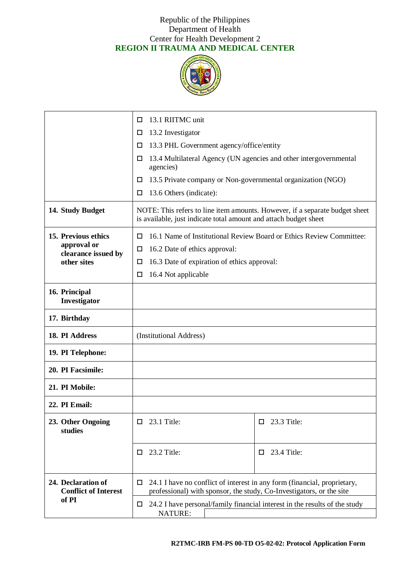

|                                                   | 13.1 RIITMC unit<br>□                                                                                                                                 |                                                                            |  |
|---------------------------------------------------|-------------------------------------------------------------------------------------------------------------------------------------------------------|----------------------------------------------------------------------------|--|
|                                                   | 13.2 Investigator<br>□                                                                                                                                |                                                                            |  |
|                                                   | 13.3 PHL Government agency/office/entity<br>□                                                                                                         |                                                                            |  |
|                                                   | 13.4 Multilateral Agency (UN agencies and other intergovernmental<br>□<br>agencies)                                                                   |                                                                            |  |
|                                                   | 13.5 Private company or Non-governmental organization (NGO)<br>□                                                                                      |                                                                            |  |
|                                                   | 13.6 Others (indicate):<br>□                                                                                                                          |                                                                            |  |
| 14. Study Budget                                  | NOTE: This refers to line item amounts. However, if a separate budget sheet<br>is available, just indicate total amount and attach budget sheet       |                                                                            |  |
| 15. Previous ethics                               | 16.1 Name of Institutional Review Board or Ethics Review Committee:<br>□                                                                              |                                                                            |  |
| approval or<br>clearance issued by                | 16.2 Date of ethics approval:<br>□                                                                                                                    |                                                                            |  |
| other sites                                       | 16.3 Date of expiration of ethics approval:<br>□                                                                                                      |                                                                            |  |
|                                                   | 16.4 Not applicable<br>□                                                                                                                              |                                                                            |  |
| 16. Principal<br>Investigator                     |                                                                                                                                                       |                                                                            |  |
| 17. Birthday                                      |                                                                                                                                                       |                                                                            |  |
| 18. PI Address                                    | (Institutional Address)                                                                                                                               |                                                                            |  |
| 19. PI Telephone:                                 |                                                                                                                                                       |                                                                            |  |
| 20. PI Facsimile:                                 |                                                                                                                                                       |                                                                            |  |
| 21. PI Mobile:                                    |                                                                                                                                                       |                                                                            |  |
| 22. PI Email:                                     |                                                                                                                                                       |                                                                            |  |
| 23. Other Ongoing<br>studies                      | $\Box$ 23.1 Title:                                                                                                                                    | $\Box$ 23.3 Title:                                                         |  |
|                                                   | 23.2 Title:<br>□                                                                                                                                      | 23.4 Title:<br>□                                                           |  |
| 24. Declaration of<br><b>Conflict of Interest</b> | 24.1 I have no conflict of interest in any form (financial, proprietary,<br>□<br>professional) with sponsor, the study, Co-Investigators, or the site |                                                                            |  |
| of PI                                             | $\Box$<br><b>NATURE:</b>                                                                                                                              | 24.2 I have personal/family financial interest in the results of the study |  |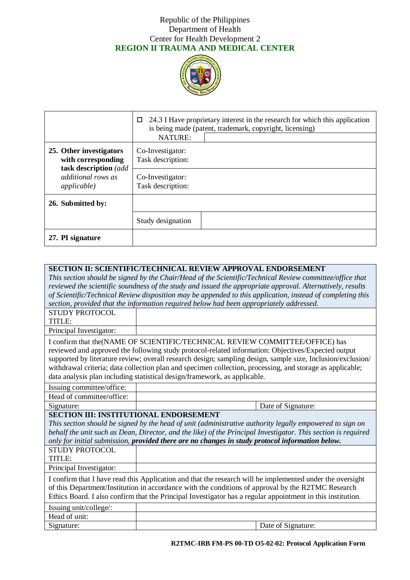

|                                                                        | 24.3 I Have proprietary interest in the research for which this application<br>0<br>is being made (patent, trademark, copyright, licensing) |  |  |  |
|------------------------------------------------------------------------|---------------------------------------------------------------------------------------------------------------------------------------------|--|--|--|
|                                                                        | <b>NATURE:</b>                                                                                                                              |  |  |  |
| 25. Other investigators<br>with corresponding<br>task description (add | Co-Investigator:<br>Task description:                                                                                                       |  |  |  |
| <i>additional rows as</i><br><i>applicable</i> )                       | Co-Investigator:<br>Task description:                                                                                                       |  |  |  |
| 26. Submitted by:                                                      |                                                                                                                                             |  |  |  |
|                                                                        | Study designation                                                                                                                           |  |  |  |
| 27. PI signature                                                       |                                                                                                                                             |  |  |  |

| <b>SECTION II: SCIENTIFIC/TECHNICAL REVIEW APPROVAL ENDORSEMENT</b>                                                                                                                                                                                                                                                                                                                                                                                                                          |                                                                                                               |                    |  |  |
|----------------------------------------------------------------------------------------------------------------------------------------------------------------------------------------------------------------------------------------------------------------------------------------------------------------------------------------------------------------------------------------------------------------------------------------------------------------------------------------------|---------------------------------------------------------------------------------------------------------------|--------------------|--|--|
|                                                                                                                                                                                                                                                                                                                                                                                                                                                                                              | This section should be signed by the Chair/Head of the Scientific/Technical Review committee/office that      |                    |  |  |
|                                                                                                                                                                                                                                                                                                                                                                                                                                                                                              | reviewed the scientific soundness of the study and issued the appropriate approval. Alternatively, results    |                    |  |  |
|                                                                                                                                                                                                                                                                                                                                                                                                                                                                                              | of Scientific/Technical Review disposition may be appended to this application, instead of completing this    |                    |  |  |
|                                                                                                                                                                                                                                                                                                                                                                                                                                                                                              | section, provided that the information required below had been appropriately addressed.                       |                    |  |  |
| <b>STUDY PROTOCOL</b>                                                                                                                                                                                                                                                                                                                                                                                                                                                                        |                                                                                                               |                    |  |  |
| TITLE:                                                                                                                                                                                                                                                                                                                                                                                                                                                                                       |                                                                                                               |                    |  |  |
| Principal Investigator:                                                                                                                                                                                                                                                                                                                                                                                                                                                                      |                                                                                                               |                    |  |  |
| I confirm that the (NAME OF SCIENTIFIC/TECHNICAL REVIEW COMMITTEE/OFFICE) has<br>reviewed and approved the following study protocol-related information: Objectives/Expected output<br>supported by literature review; overall research design; sampling design, sample size, Inclusion/exclusion/<br>withdrawal criteria; data collection plan and specimen collection, processing, and storage as applicable;<br>data analysis plan including statistical design/framework, as applicable. |                                                                                                               |                    |  |  |
| Issuing committee/office:                                                                                                                                                                                                                                                                                                                                                                                                                                                                    |                                                                                                               |                    |  |  |
| Head of committee/office:                                                                                                                                                                                                                                                                                                                                                                                                                                                                    |                                                                                                               |                    |  |  |
| Signature:                                                                                                                                                                                                                                                                                                                                                                                                                                                                                   |                                                                                                               | Date of Signature: |  |  |
| <b>SECTION III: INSTITUTIONAL ENDORSEMENT</b>                                                                                                                                                                                                                                                                                                                                                                                                                                                |                                                                                                               |                    |  |  |
|                                                                                                                                                                                                                                                                                                                                                                                                                                                                                              | This section should be signed by the head of unit (administrative authority legally empowered to sign on      |                    |  |  |
|                                                                                                                                                                                                                                                                                                                                                                                                                                                                                              | behalf the unit such as Dean, Director, and the like) of the Principal Investigator. This section is required |                    |  |  |
|                                                                                                                                                                                                                                                                                                                                                                                                                                                                                              | only for initial submission, provided there are no changes in study protocol information below.               |                    |  |  |
| <b>STUDY PROTOCOL</b>                                                                                                                                                                                                                                                                                                                                                                                                                                                                        |                                                                                                               |                    |  |  |
| TITLE:                                                                                                                                                                                                                                                                                                                                                                                                                                                                                       |                                                                                                               |                    |  |  |
| Principal Investigator:                                                                                                                                                                                                                                                                                                                                                                                                                                                                      |                                                                                                               |                    |  |  |
| I confirm that I have read this Application and that the research will be implemented under the oversight                                                                                                                                                                                                                                                                                                                                                                                    |                                                                                                               |                    |  |  |
| of this Department/Institution in accordance with the conditions of approval by the R2TMC Research                                                                                                                                                                                                                                                                                                                                                                                           |                                                                                                               |                    |  |  |
| Ethics Board. I also confirm that the Principal Investigator has a regular appointment in this institution.                                                                                                                                                                                                                                                                                                                                                                                  |                                                                                                               |                    |  |  |
| Issuing unit/college/:                                                                                                                                                                                                                                                                                                                                                                                                                                                                       |                                                                                                               |                    |  |  |
| Head of unit:                                                                                                                                                                                                                                                                                                                                                                                                                                                                                |                                                                                                               |                    |  |  |
| Signature:                                                                                                                                                                                                                                                                                                                                                                                                                                                                                   |                                                                                                               | Date of Signature: |  |  |

**R2TMC-IRB FM-PS 00-TD O5-02-02: Protocol Application Form**